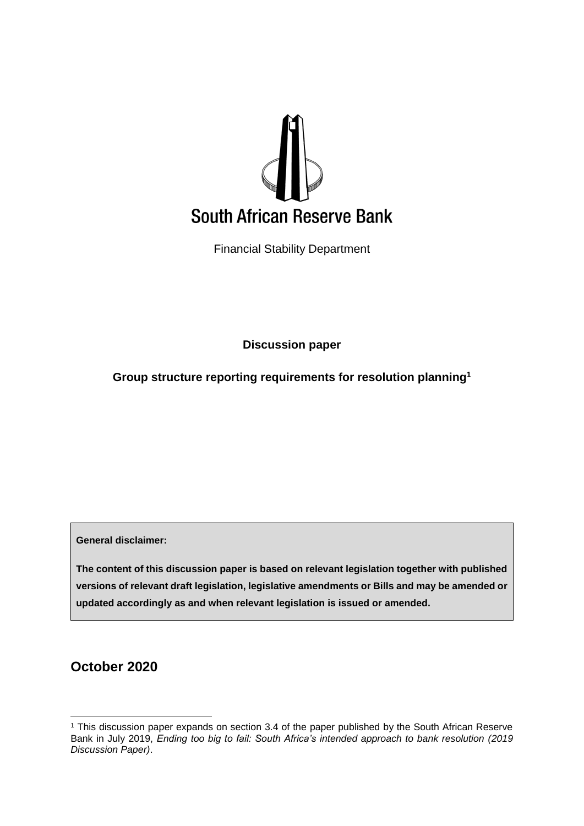

Financial Stability Department

**Discussion paper**

**Group structure reporting requirements for resolution planning<sup>1</sup>**

**General disclaimer:**

**The content of this discussion paper is based on relevant legislation together with published versions of relevant draft legislation, legislative amendments or Bills and may be amended or updated accordingly as and when relevant legislation is issued or amended.**

## **October 2020**

1

<sup>&</sup>lt;sup>1</sup> This discussion paper expands on section 3.4 of the paper published by the South African Reserve Bank in July 2019, *Ending too big to fail: South Africa's intended approach to bank resolution (2019 Discussion Paper)*.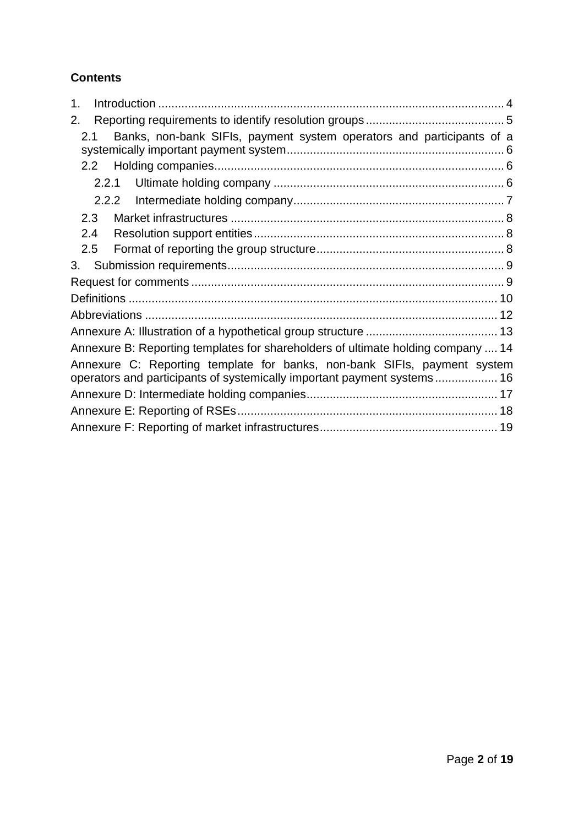## **Contents**

| 1.                                                                                                                                                  |  |
|-----------------------------------------------------------------------------------------------------------------------------------------------------|--|
| 2.                                                                                                                                                  |  |
| Banks, non-bank SIFIs, payment system operators and participants of a<br>2.1                                                                        |  |
| 2.2                                                                                                                                                 |  |
| 2.2.1                                                                                                                                               |  |
| 2.2.2                                                                                                                                               |  |
| 2.3                                                                                                                                                 |  |
| 2.4                                                                                                                                                 |  |
| 2.5                                                                                                                                                 |  |
| 3.                                                                                                                                                  |  |
|                                                                                                                                                     |  |
|                                                                                                                                                     |  |
|                                                                                                                                                     |  |
|                                                                                                                                                     |  |
| Annexure B: Reporting templates for shareholders of ultimate holding company  14                                                                    |  |
| Annexure C: Reporting template for banks, non-bank SIFIs, payment system<br>operators and participants of systemically important payment systems 16 |  |
|                                                                                                                                                     |  |
|                                                                                                                                                     |  |
|                                                                                                                                                     |  |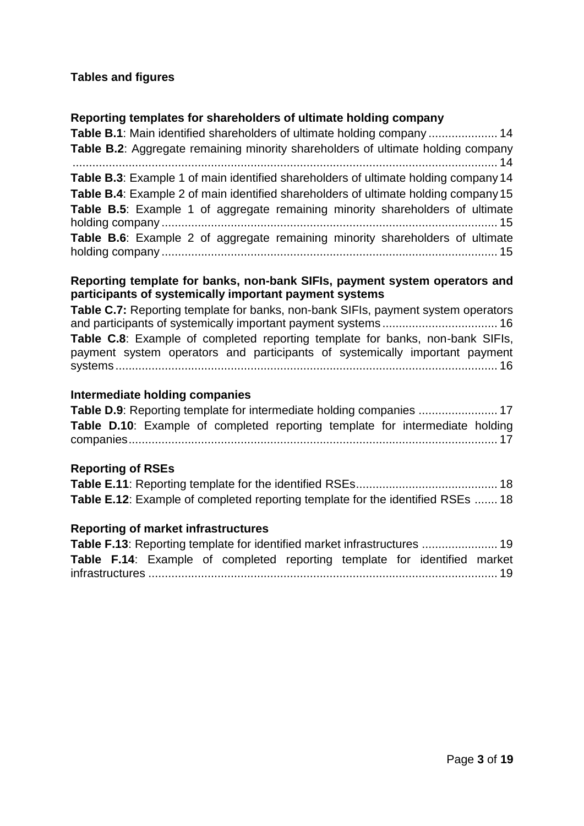## **Tables and figures**

#### **Reporting templates for shareholders of ultimate holding company**

**Table B.1**[: Main identified shareholders of ultimate holding company](#page-13-1) ..................... 14 **Table B.2:** Aggregate remaining minority shareholders of ultimate holding company [.................................................................................................................................](#page-13-2) 14 **Table B.3**[: Example 1 of main identified shareholders of ultimate holding company14](#page-13-3) **Table B.4**[: Example 2 of main identified shareholders of ultimate holding company15](#page-13-4) **Table B.5**[: Example 1 of aggregate remaining minority shareholders of ultimate](#page-14-0)  holding company [......................................................................................................](#page-14-0) 15 **Table B.6**[: Example 2 of aggregate remaining minority shareholders of ultimate](#page-14-1)  holding company [......................................................................................................](#page-14-1) 15

#### **Reporting template for banks, non-bank SIFIs, payment system operators and participants of systemically important payment systems**

**Table C.7:** [Reporting template for banks, non-bank SIFIs, payment system operators](#page-15-1)  [and participants of systemically important payment systems](#page-15-1) ................................... 16 **Table C.8**[: Example of completed reporting template for banks, non-bank SIFIs,](#page-15-2)  [payment system operators and participants of systemically important payment](#page-15-2)  systems [....................................................................................................................](#page-15-2) 16

#### **Intermediate holding companies**

|  |  |  |  |  |  |  | Table D.10: Example of completed reporting template for intermediate holding |  |
|--|--|--|--|--|--|--|------------------------------------------------------------------------------|--|
|  |  |  |  |  |  |  |                                                                              |  |

#### **Reporting of RSEs**

| <b>Table E.12:</b> Example of completed reporting template for the identified RSEs  18 |  |
|----------------------------------------------------------------------------------------|--|

#### **Reporting of market infrastructures**

|  |  | Table F.13: Reporting template for identified market infrastructures  19  |  |  |  |
|--|--|---------------------------------------------------------------------------|--|--|--|
|  |  | Table F.14: Example of completed reporting template for identified market |  |  |  |
|  |  |                                                                           |  |  |  |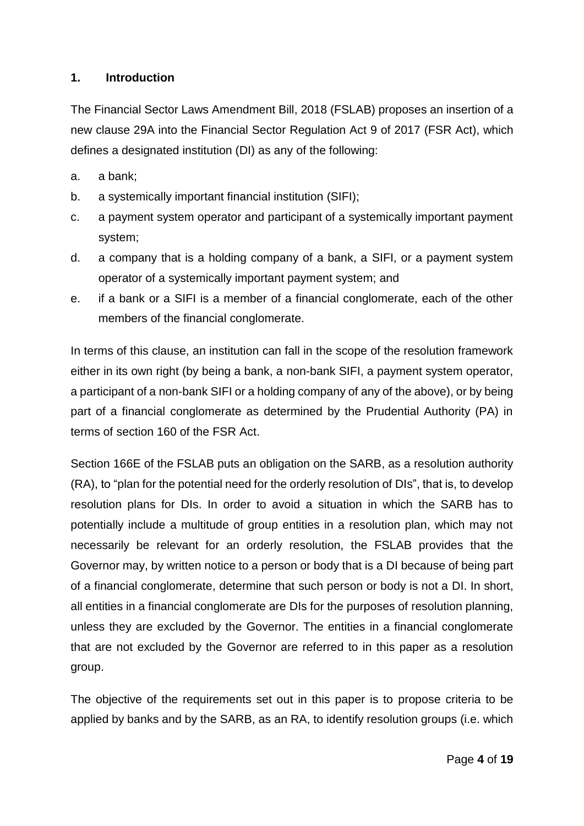## <span id="page-3-0"></span>**1. Introduction**

The Financial Sector Laws Amendment Bill, 2018 (FSLAB) proposes an insertion of a new clause 29A into the Financial Sector Regulation Act 9 of 2017 (FSR Act), which defines a designated institution (DI) as any of the following:

- a. a bank;
- b. a systemically important financial institution (SIFI);
- c. a payment system operator and participant of a systemically important payment system;
- d. a company that is a holding company of a bank, a SIFI, or a payment system operator of a systemically important payment system; and
- e. if a bank or a SIFI is a member of a financial conglomerate, each of the other members of the financial conglomerate.

In terms of this clause, an institution can fall in the scope of the resolution framework either in its own right (by being a bank, a non-bank SIFI, a payment system operator, a participant of a non-bank SIFI or a holding company of any of the above), or by being part of a financial conglomerate as determined by the Prudential Authority (PA) in terms of section 160 of the FSR Act.

Section 166E of the FSLAB puts an obligation on the SARB, as a resolution authority (RA), to "plan for the potential need for the orderly resolution of DIs", that is, to develop resolution plans for DIs. In order to avoid a situation in which the SARB has to potentially include a multitude of group entities in a resolution plan, which may not necessarily be relevant for an orderly resolution, the FSLAB provides that the Governor may, by written notice to a person or body that is a DI because of being part of a financial conglomerate, determine that such person or body is not a DI. In short, all entities in a financial conglomerate are DIs for the purposes of resolution planning, unless they are excluded by the Governor. The entities in a financial conglomerate that are not excluded by the Governor are referred to in this paper as a resolution group.

The objective of the requirements set out in this paper is to propose criteria to be applied by banks and by the SARB, as an RA, to identify resolution groups (i.e. which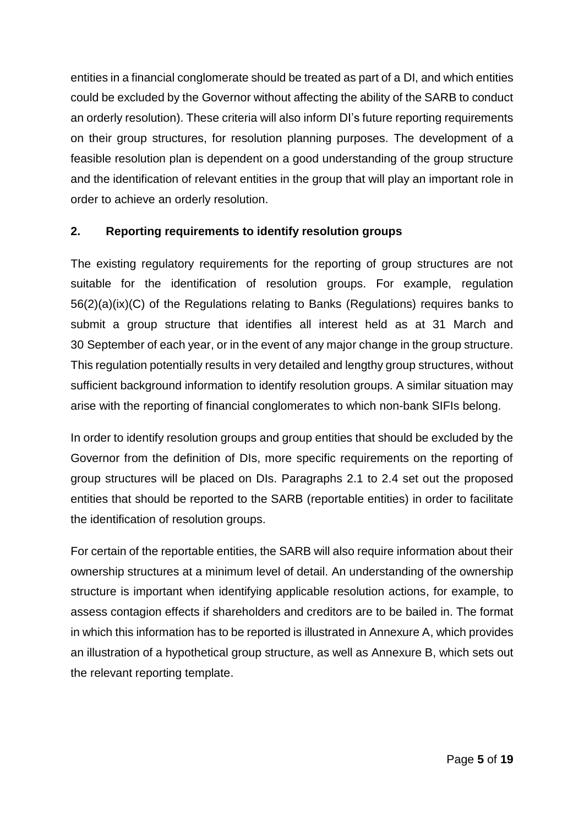entities in a financial conglomerate should be treated as part of a DI, and which entities could be excluded by the Governor without affecting the ability of the SARB to conduct an orderly resolution). These criteria will also inform DI's future reporting requirements on their group structures, for resolution planning purposes. The development of a feasible resolution plan is dependent on a good understanding of the group structure and the identification of relevant entities in the group that will play an important role in order to achieve an orderly resolution.

## <span id="page-4-0"></span>**2. Reporting requirements to identify resolution groups**

The existing regulatory requirements for the reporting of group structures are not suitable for the identification of resolution groups. For example, regulation 56(2)(a)(ix)(C) of the Regulations relating to Banks (Regulations) requires banks to submit a group structure that identifies all interest held as at 31 March and 30 September of each year, or in the event of any major change in the group structure. This regulation potentially results in very detailed and lengthy group structures, without sufficient background information to identify resolution groups. A similar situation may arise with the reporting of financial conglomerates to which non-bank SIFIs belong.

In order to identify resolution groups and group entities that should be excluded by the Governor from the definition of DIs, more specific requirements on the reporting of group structures will be placed on DIs. Paragraphs 2.1 to 2.4 set out the proposed entities that should be reported to the SARB (reportable entities) in order to facilitate the identification of resolution groups.

For certain of the reportable entities, the SARB will also require information about their ownership structures at a minimum level of detail. An understanding of the ownership structure is important when identifying applicable resolution actions, for example, to assess contagion effects if shareholders and creditors are to be bailed in. The format in which this information has to be reported is illustrated in Annexure A, which provides an illustration of a hypothetical group structure, as well as Annexure B, which sets out the relevant reporting template.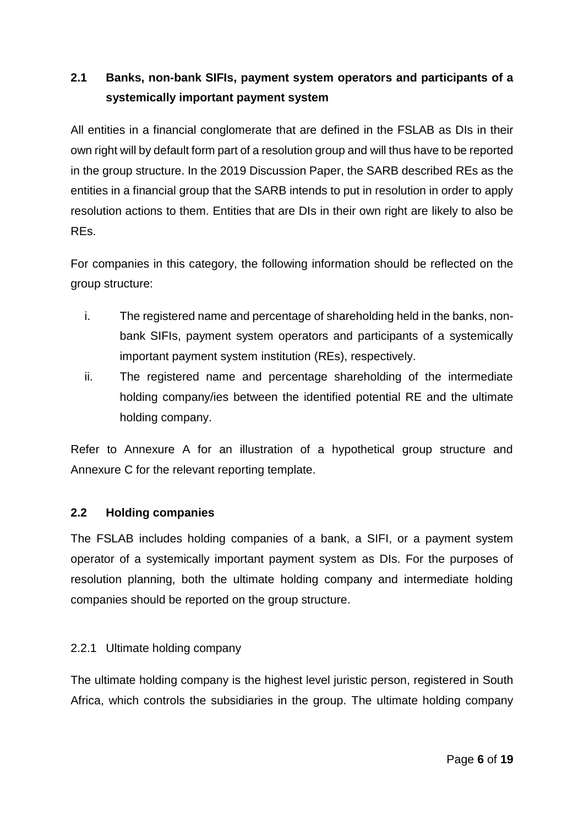## <span id="page-5-0"></span>**2.1 Banks, non-bank SIFIs, payment system operators and participants of a systemically important payment system**

All entities in a financial conglomerate that are defined in the FSLAB as DIs in their own right will by default form part of a resolution group and will thus have to be reported in the group structure. In the 2019 Discussion Paper, the SARB described REs as the entities in a financial group that the SARB intends to put in resolution in order to apply resolution actions to them. Entities that are DIs in their own right are likely to also be REs.

For companies in this category, the following information should be reflected on the group structure:

- i. The registered name and percentage of shareholding held in the banks, nonbank SIFIs, payment system operators and participants of a systemically important payment system institution (REs), respectively.
- ii. The registered name and percentage shareholding of the intermediate holding company/ies between the identified potential RE and the ultimate holding company.

Refer to Annexure A for an illustration of a hypothetical group structure and Annexure C for the relevant reporting template.

## <span id="page-5-1"></span>**2.2 Holding companies**

The FSLAB includes holding companies of a bank, a SIFI, or a payment system operator of a systemically important payment system as DIs. For the purposes of resolution planning, both the ultimate holding company and intermediate holding companies should be reported on the group structure.

## <span id="page-5-2"></span>2.2.1 Ultimate holding company

The ultimate holding company is the highest level juristic person, registered in South Africa, which controls the subsidiaries in the group. The ultimate holding company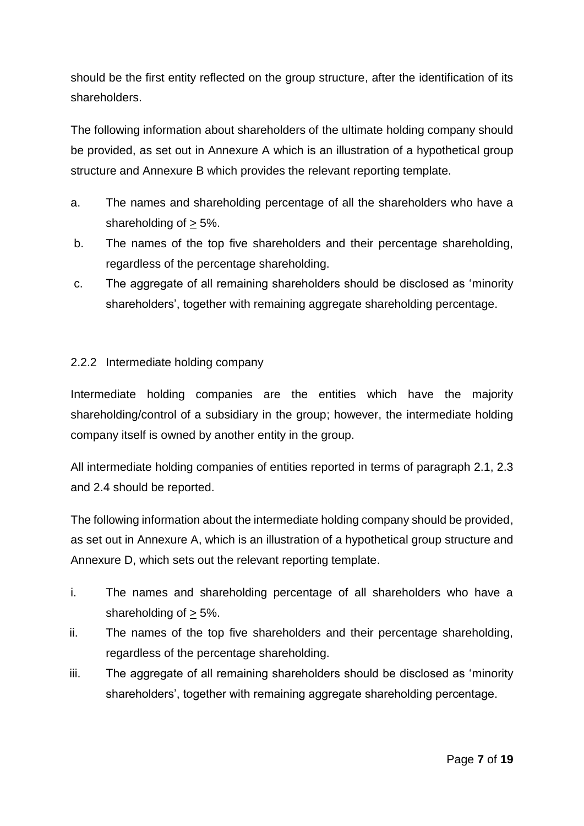should be the first entity reflected on the group structure, after the identification of its shareholders.

The following information about shareholders of the ultimate holding company should be provided, as set out in Annexure A which is an illustration of a hypothetical group structure and Annexure B which provides the relevant reporting template.

- a. The names and shareholding percentage of all the shareholders who have a shareholding of > 5%.
- b. The names of the top five shareholders and their percentage shareholding, regardless of the percentage shareholding.
- c. The aggregate of all remaining shareholders should be disclosed as 'minority shareholders', together with remaining aggregate shareholding percentage.

## <span id="page-6-0"></span>2.2.2 Intermediate holding company

Intermediate holding companies are the entities which have the majority shareholding/control of a subsidiary in the group; however, the intermediate holding company itself is owned by another entity in the group.

All intermediate holding companies of entities reported in terms of paragraph 2.1, 2.3 and 2.4 should be reported.

The following information about the intermediate holding company should be provided, as set out in Annexure A, which is an illustration of a hypothetical group structure and Annexure D, which sets out the relevant reporting template.

- i. The names and shareholding percentage of all shareholders who have a shareholding of  $\geq$  5%.
- ii. The names of the top five shareholders and their percentage shareholding, regardless of the percentage shareholding.
- iii. The aggregate of all remaining shareholders should be disclosed as 'minority shareholders', together with remaining aggregate shareholding percentage.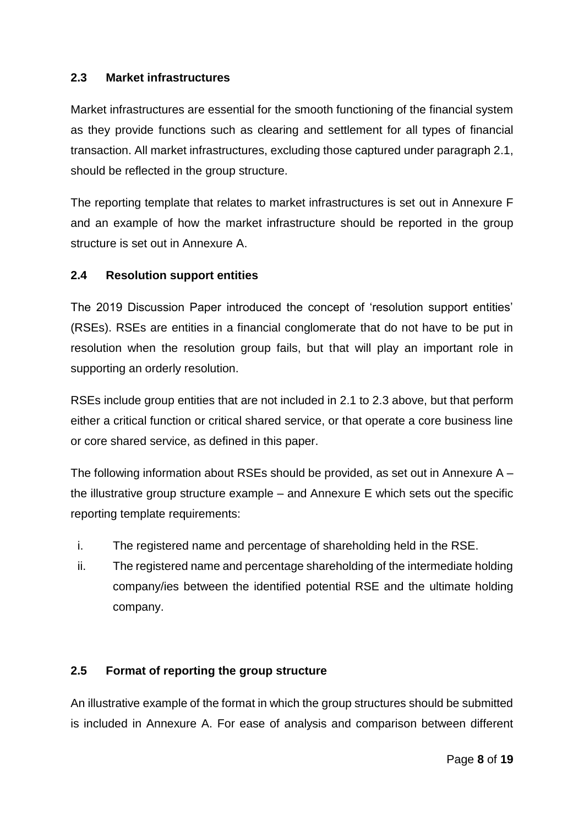## <span id="page-7-0"></span>**2.3 Market infrastructures**

Market infrastructures are essential for the smooth functioning of the financial system as they provide functions such as clearing and settlement for all types of financial transaction. All market infrastructures, excluding those captured under paragraph 2.1, should be reflected in the group structure.

The reporting template that relates to market infrastructures is set out in Annexure F and an example of how the market infrastructure should be reported in the group structure is set out in Annexure A.

## <span id="page-7-1"></span>**2.4 Resolution support entities**

The 2019 Discussion Paper introduced the concept of 'resolution support entities' (RSEs). RSEs are entities in a financial conglomerate that do not have to be put in resolution when the resolution group fails, but that will play an important role in supporting an orderly resolution.

RSEs include group entities that are not included in 2.1 to 2.3 above, but that perform either a critical function or critical shared service, or that operate a core business line or core shared service, as defined in this paper.

The following information about RSEs should be provided, as set out in Annexure  $A$ the illustrative group structure example  $-$  and Annexure E which sets out the specific reporting template requirements:

- i. The registered name and percentage of shareholding held in the RSE.
- ii. The registered name and percentage shareholding of the intermediate holding company/ies between the identified potential RSE and the ultimate holding company.

## <span id="page-7-2"></span>**2.5 Format of reporting the group structure**

An illustrative example of the format in which the group structures should be submitted is included in Annexure A. For ease of analysis and comparison between different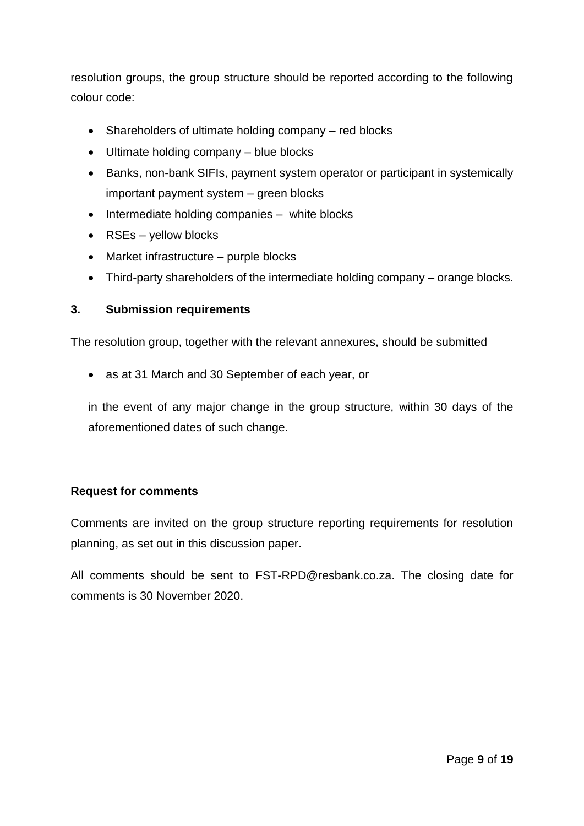resolution groups, the group structure should be reported according to the following colour code:

- Shareholders of ultimate holding company red blocks
- Ultimate holding company blue blocks
- Banks, non-bank SIFIs, payment system operator or participant in systemically important payment system – green blocks
- Intermediate holding companies white blocks
- RSEs yellow blocks
- Market infrastructure purple blocks
- Third-party shareholders of the intermediate holding company orange blocks.

### <span id="page-8-0"></span>**3. Submission requirements**

The resolution group, together with the relevant annexures, should be submitted

as at 31 March and 30 September of each year, or

in the event of any major change in the group structure, within 30 days of the aforementioned dates of such change.

## <span id="page-8-1"></span>**Request for comments**

Comments are invited on the group structure reporting requirements for resolution planning, as set out in this discussion paper.

All comments should be sent to FST-RPD@resbank.co.za. The closing date for comments is 30 November 2020.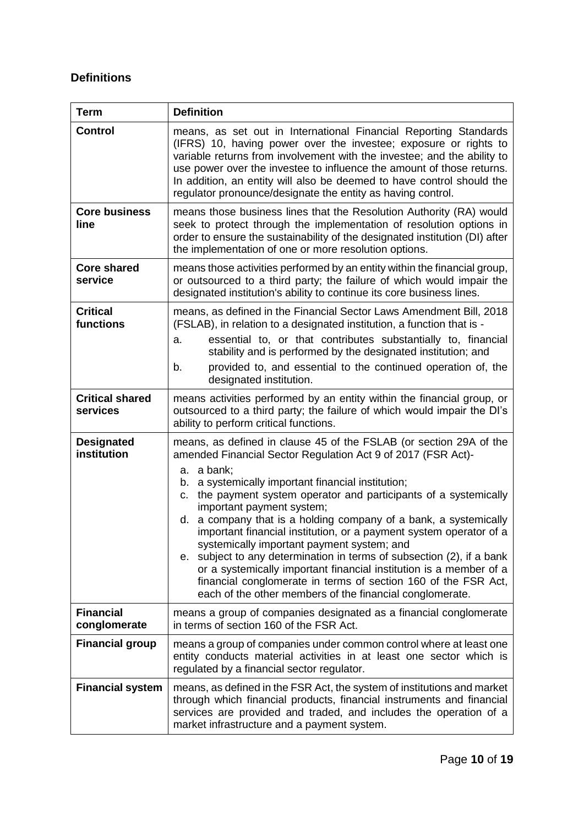## <span id="page-9-0"></span>**Definitions**

| <b>Term</b>                        | <b>Definition</b>                                                                                                                                                                                                                                                                                                                                                                                                                                                                                                                                                                                                                                                                                                                                                                         |
|------------------------------------|-------------------------------------------------------------------------------------------------------------------------------------------------------------------------------------------------------------------------------------------------------------------------------------------------------------------------------------------------------------------------------------------------------------------------------------------------------------------------------------------------------------------------------------------------------------------------------------------------------------------------------------------------------------------------------------------------------------------------------------------------------------------------------------------|
| <b>Control</b>                     | means, as set out in International Financial Reporting Standards<br>(IFRS) 10, having power over the investee; exposure or rights to<br>variable returns from involvement with the investee; and the ability to<br>use power over the investee to influence the amount of those returns.<br>In addition, an entity will also be deemed to have control should the<br>regulator pronounce/designate the entity as having control.                                                                                                                                                                                                                                                                                                                                                          |
| <b>Core business</b><br>line       | means those business lines that the Resolution Authority (RA) would<br>seek to protect through the implementation of resolution options in<br>order to ensure the sustainability of the designated institution (DI) after<br>the implementation of one or more resolution options.                                                                                                                                                                                                                                                                                                                                                                                                                                                                                                        |
| <b>Core shared</b><br>service      | means those activities performed by an entity within the financial group,<br>or outsourced to a third party; the failure of which would impair the<br>designated institution's ability to continue its core business lines.                                                                                                                                                                                                                                                                                                                                                                                                                                                                                                                                                               |
| <b>Critical</b><br>functions       | means, as defined in the Financial Sector Laws Amendment Bill, 2018<br>(FSLAB), in relation to a designated institution, a function that is -<br>essential to, or that contributes substantially to, financial<br>a.<br>stability and is performed by the designated institution; and<br>provided to, and essential to the continued operation of, the<br>b.<br>designated institution.                                                                                                                                                                                                                                                                                                                                                                                                   |
| <b>Critical shared</b><br>services | means activities performed by an entity within the financial group, or<br>outsourced to a third party; the failure of which would impair the DI's<br>ability to perform critical functions.                                                                                                                                                                                                                                                                                                                                                                                                                                                                                                                                                                                               |
| <b>Designated</b><br>institution   | means, as defined in clause 45 of the FSLAB (or section 29A of the<br>amended Financial Sector Regulation Act 9 of 2017 (FSR Act)-<br>a. a bank;<br>a systemically important financial institution;<br>b.<br>the payment system operator and participants of a systemically<br>C.<br>important payment system;<br>a company that is a holding company of a bank, a systemically<br>d.<br>important financial institution, or a payment system operator of a<br>systemically important payment system; and<br>subject to any determination in terms of subsection (2), if a bank<br>е.<br>or a systemically important financial institution is a member of a<br>financial conglomerate in terms of section 160 of the FSR Act,<br>each of the other members of the financial conglomerate. |
| <b>Financial</b><br>conglomerate   | means a group of companies designated as a financial conglomerate<br>in terms of section 160 of the FSR Act.                                                                                                                                                                                                                                                                                                                                                                                                                                                                                                                                                                                                                                                                              |
| <b>Financial group</b>             | means a group of companies under common control where at least one<br>entity conducts material activities in at least one sector which is<br>regulated by a financial sector regulator.                                                                                                                                                                                                                                                                                                                                                                                                                                                                                                                                                                                                   |
| <b>Financial system</b>            | means, as defined in the FSR Act, the system of institutions and market<br>through which financial products, financial instruments and financial<br>services are provided and traded, and includes the operation of a<br>market infrastructure and a payment system.                                                                                                                                                                                                                                                                                                                                                                                                                                                                                                                      |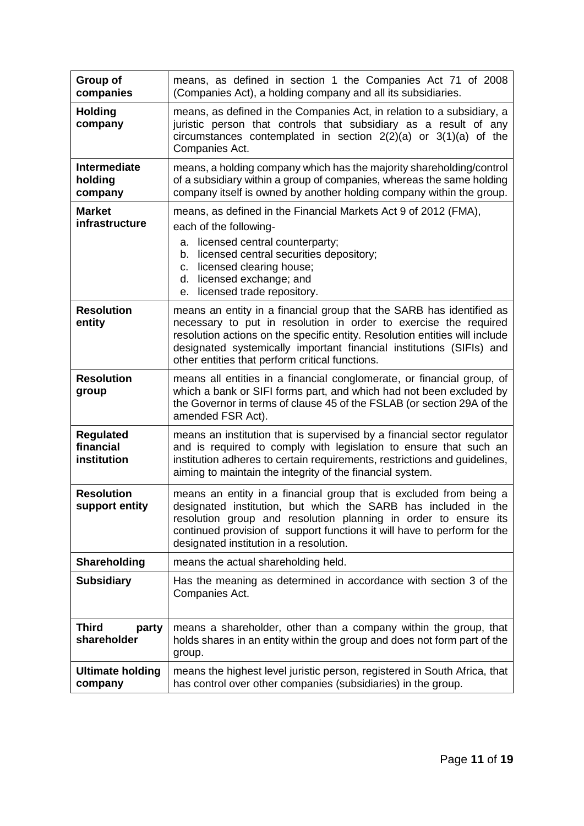| Group of<br>companies                        | means, as defined in section 1 the Companies Act 71 of 2008<br>(Companies Act), a holding company and all its subsidiaries.                                                                                                                                                                                                                        |
|----------------------------------------------|----------------------------------------------------------------------------------------------------------------------------------------------------------------------------------------------------------------------------------------------------------------------------------------------------------------------------------------------------|
| <b>Holding</b><br>company                    | means, as defined in the Companies Act, in relation to a subsidiary, a<br>juristic person that controls that subsidiary as a result of any<br>circumstances contemplated in section $2(2)(a)$ or $3(1)(a)$ of the<br>Companies Act.                                                                                                                |
| Intermediate<br>holding<br>company           | means, a holding company which has the majority shareholding/control<br>of a subsidiary within a group of companies, whereas the same holding<br>company itself is owned by another holding company within the group.                                                                                                                              |
| <b>Market</b><br>infrastructure              | means, as defined in the Financial Markets Act 9 of 2012 (FMA),<br>each of the following-<br>licensed central counterparty;<br>a.<br>licensed central securities depository;<br>b.<br>licensed clearing house;<br>C.<br>d. licensed exchange; and<br>licensed trade repository.<br>е.                                                              |
| <b>Resolution</b><br>entity                  | means an entity in a financial group that the SARB has identified as<br>necessary to put in resolution in order to exercise the required<br>resolution actions on the specific entity. Resolution entities will include<br>designated systemically important financial institutions (SIFIs) and<br>other entities that perform critical functions. |
| <b>Resolution</b><br>group                   | means all entities in a financial conglomerate, or financial group, of<br>which a bank or SIFI forms part, and which had not been excluded by<br>the Governor in terms of clause 45 of the FSLAB (or section 29A of the<br>amended FSR Act).                                                                                                       |
| <b>Regulated</b><br>financial<br>institution | means an institution that is supervised by a financial sector regulator<br>and is required to comply with legislation to ensure that such an<br>institution adheres to certain requirements, restrictions and quidelines,<br>aiming to maintain the integrity of the financial system.                                                             |
| <b>Resolution</b><br>support entity          | means an entity in a financial group that is excluded from being a<br>designated institution, but which the SARB has included in the<br>resolution group and resolution planning in order to ensure its<br>continued provision of support functions it will have to perform for the<br>designated institution in a resolution.                     |
| <b>Shareholding</b>                          | means the actual shareholding held.                                                                                                                                                                                                                                                                                                                |
| <b>Subsidiary</b>                            | Has the meaning as determined in accordance with section 3 of the<br>Companies Act.                                                                                                                                                                                                                                                                |
| <b>Third</b><br>party<br>shareholder         | means a shareholder, other than a company within the group, that<br>holds shares in an entity within the group and does not form part of the<br>group.                                                                                                                                                                                             |
| <b>Ultimate holding</b><br>company           | means the highest level juristic person, registered in South Africa, that<br>has control over other companies (subsidiaries) in the group.                                                                                                                                                                                                         |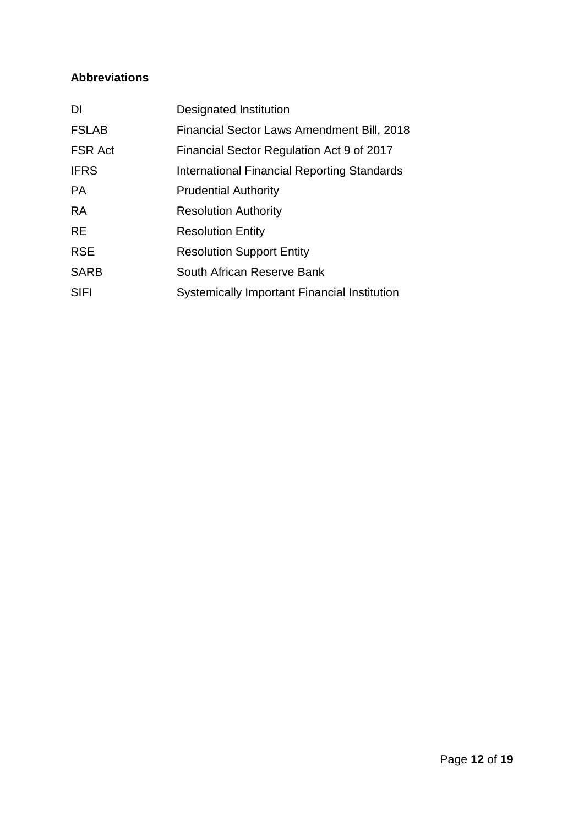## <span id="page-11-0"></span>**Abbreviations**

| <b>DI</b>      | Designated Institution                            |
|----------------|---------------------------------------------------|
| <b>FSLAB</b>   | <b>Financial Sector Laws Amendment Bill, 2018</b> |
| <b>FSR Act</b> | Financial Sector Regulation Act 9 of 2017         |
| <b>IFRS</b>    | International Financial Reporting Standards       |
| <b>PA</b>      | <b>Prudential Authority</b>                       |
| <b>RA</b>      | <b>Resolution Authority</b>                       |
| <b>RE</b>      | <b>Resolution Entity</b>                          |
| <b>RSE</b>     | <b>Resolution Support Entity</b>                  |
| <b>SARB</b>    | South African Reserve Bank                        |
| <b>SIFI</b>    | Systemically Important Financial Institution      |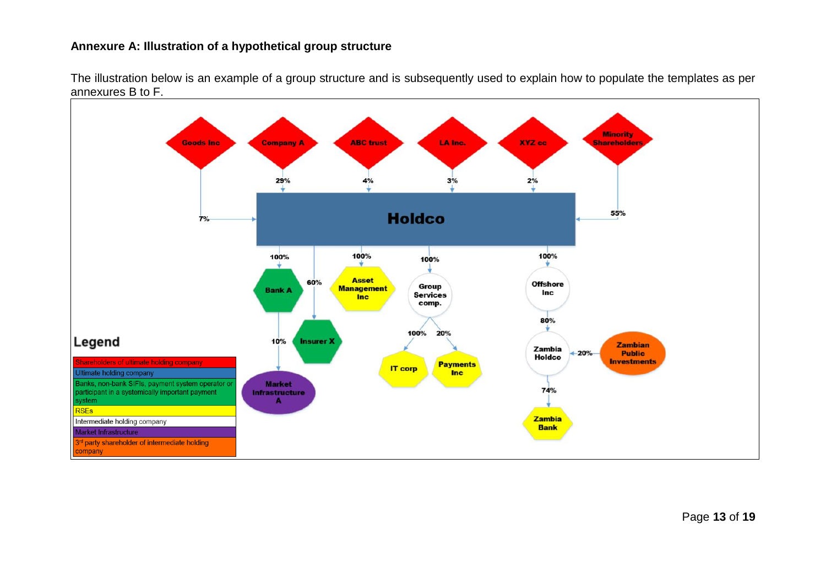#### **Annexure A: Illustration of a hypothetical group structure**

The illustration below is an example of a group structure and is subsequently used to explain how to populate the templates as per annexures B to F.

<span id="page-12-0"></span>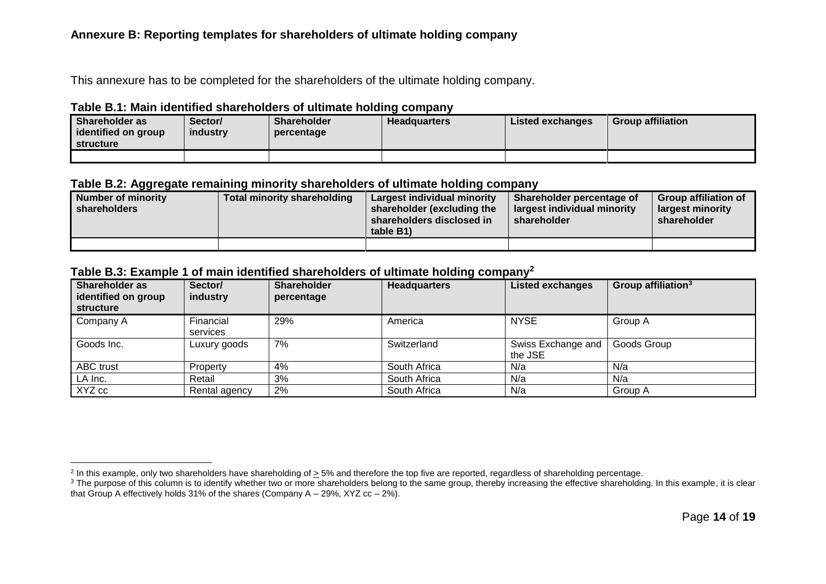#### **Annexure B: Reporting templates for shareholders of ultimate holding company**

This annexure has to be completed for the shareholders of the ultimate holding company.

#### **Table B.1: Main identified shareholders of ultimate holding company**

<span id="page-13-2"></span> $\overline{a}$ 

| <b>Shareholder as</b><br>identified on group<br>structure | Sector/<br>industry | <b>Shareholder</b><br>percentage | <b>Headquarters</b> | Listed exchanges | <b>Group affiliation</b> |
|-----------------------------------------------------------|---------------------|----------------------------------|---------------------|------------------|--------------------------|
|                                                           |                     |                                  |                     |                  |                          |

#### **Table B.2: Aggregate remaining minority shareholders of ultimate holding company**

| Number of minority<br><b>Shareholders</b> | Total minority shareholding | Largest individual minority<br>shareholder (excluding the<br>shareholders disclosed in<br>table B1) | Shareholder percentage of<br>largest individual minority<br>shareholder | <b>Group affiliation of</b><br>largest minority<br>shareholder |
|-------------------------------------------|-----------------------------|-----------------------------------------------------------------------------------------------------|-------------------------------------------------------------------------|----------------------------------------------------------------|
|                                           |                             |                                                                                                     |                                                                         |                                                                |

#### <span id="page-13-0"></span>**Table B.3: Example 1 of main identified shareholders of ultimate holding company<sup>2</sup>**

<span id="page-13-1"></span>

| Shareholder as<br>identified on group<br><b>structure</b> | Sector/<br>industry   | <b>Shareholder</b><br>percentage | <b>Headquarters</b> | <b>Listed exchanges</b>       | Group affiliation <sup>3</sup> |
|-----------------------------------------------------------|-----------------------|----------------------------------|---------------------|-------------------------------|--------------------------------|
| Company A                                                 | Financial<br>services | 29%                              | America             | <b>NYSE</b>                   | Group A                        |
| Goods Inc.                                                | Luxury goods          | 7%                               | Switzerland         | Swiss Exchange and<br>the JSE | Goods Group                    |
| <b>ABC</b> trust                                          | Property              | 4%                               | South Africa        | N/a                           | N/a                            |
| LA Inc.                                                   | Retail                | 3%                               | South Africa        | N/a                           | N/a                            |
| XYZ cc                                                    | Rental agency         | 2%                               | South Africa        | N/a                           | Group A                        |

<sup>&</sup>lt;sup>2</sup> In this example, only two shareholders have shareholding of  $\geq$  5% and therefore the top five are reported, regardless of shareholding percentage.

<span id="page-13-4"></span><span id="page-13-3"></span><sup>&</sup>lt;sup>3</sup> The purpose of this column is to identify whether two or more shareholders belong to the same group, thereby increasing the effective shareholding. In this example, it is clear that Group A effectively holds 31% of the shares (Company A – 29%, XYZ  $cc - 2\%$ ).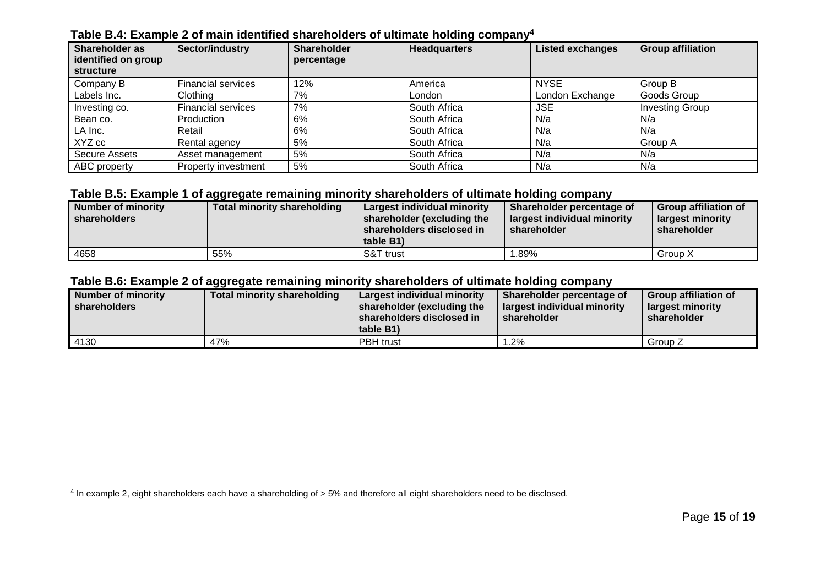| ו מטוכ ם.-. בגעווואוט ב טו ווומות וטטוונווטט אומרטוסטוס טו מתחומנט ווטומוואַ טטוואַמוז |                           |                                  |                     |                         |                          |  |  |
|----------------------------------------------------------------------------------------|---------------------------|----------------------------------|---------------------|-------------------------|--------------------------|--|--|
| Shareholder as<br>identified on group<br>structure                                     | Sector/industry           | <b>Shareholder</b><br>percentage | <b>Headquarters</b> | <b>Listed exchanges</b> | <b>Group affiliation</b> |  |  |
| Company B                                                                              | <b>Financial services</b> | 12%                              | America             | <b>NYSE</b>             | Group B                  |  |  |
| Labels Inc.                                                                            | Clothina                  | 7%                               | London              | London Exchange         | Goods Group              |  |  |
| Investing co.                                                                          | <b>Financial services</b> | 7%                               | South Africa        | <b>JSE</b>              | <b>Investing Group</b>   |  |  |
| Bean co.                                                                               | Production                | 6%                               | South Africa        | N/a                     | N/a                      |  |  |
| LA Inc.                                                                                | Retail                    | 6%                               | South Africa        | N/a                     | N/a                      |  |  |
| XYZ cc                                                                                 | Rental agency             | 5%                               | South Africa        | N/a                     | Group A                  |  |  |
| Secure Assets                                                                          | Asset management          | 5%                               | South Africa        | N/a                     | N/a                      |  |  |
| ABC property                                                                           | Property investment       | 5%                               | South Africa        | N/a                     | N/a                      |  |  |

#### **Table B.4: Example 2 of main identified shareholders of ultimate holding company<sup>4</sup>**

#### **Table B.5: Example 1 of aggregate remaining minority shareholders of ultimate holding company**

| <b>Number of minority</b><br>shareholders | <b>Total minority shareholding</b> | <b>Largest individual minority</b><br>shareholder (excluding the<br>shareholders disclosed in<br>table B1) | Shareholder percentage of<br>largest individual minority<br>shareholder | <b>Group affiliation of</b><br>largest minority<br>shareholder |
|-------------------------------------------|------------------------------------|------------------------------------------------------------------------------------------------------------|-------------------------------------------------------------------------|----------------------------------------------------------------|
| 4658                                      | 55%                                | S&T trust                                                                                                  | .89%                                                                    | Group X                                                        |

#### **Table B.6: Example 2 of aggregate remaining minority shareholders of ultimate holding company**

| Number of minority<br>shareholders | <b>Total minority shareholding</b> | <b>Largest individual minority</b><br>shareholder (excluding the<br>shareholders disclosed in<br>table B1) | Shareholder percentage of<br>largest individual minority<br>shareholder | <b>Group affiliation of</b><br>largest minority<br>shareholder |
|------------------------------------|------------------------------------|------------------------------------------------------------------------------------------------------------|-------------------------------------------------------------------------|----------------------------------------------------------------|
| 4130                               | 47%                                | <b>PBH</b> trust                                                                                           | 1.2%                                                                    | Group Z                                                        |

<span id="page-14-1"></span><span id="page-14-0"></span>example 2, eight shareholders each have a shareholding of  $\geq$  5% and therefore all eight shareholders need to be disclosed.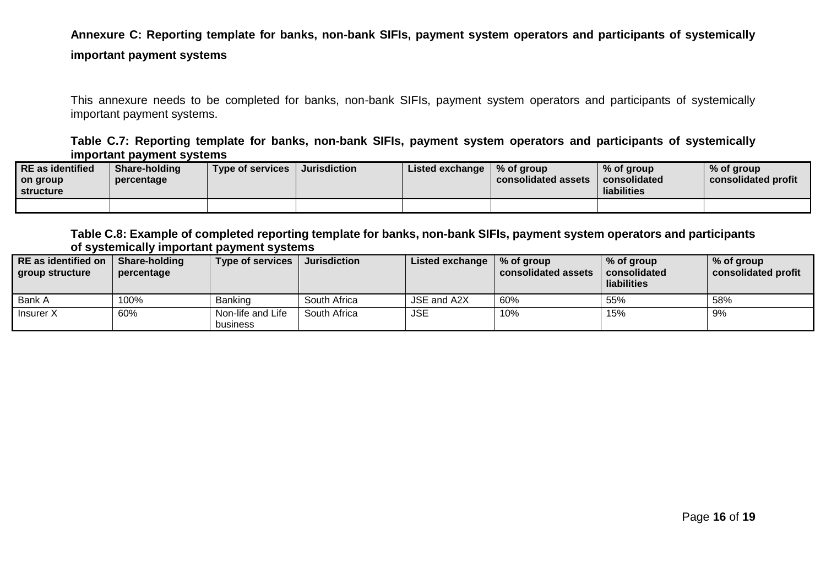## **Annexure C: Reporting template for banks, non-bank SIFIs, payment system operators and participants of systemically important payment systems**

This annexure needs to be completed for banks, non-bank SIFIs, payment system operators and participants of systemically important payment systems.

### **Table C.7: Reporting template for banks, non-bank SIFIs, payment system operators and participants of systemically important payment systems**

| <b>RE</b> as identified<br>on group<br>structure | Share-holding<br>percentage | <b>Type of services</b> | ∣ Jurisdiction | Listed exchange $\mid$ % of group | consolidated assets | % of group<br>consolidated<br>liabilities | % of group<br>consolidated profit |
|--------------------------------------------------|-----------------------------|-------------------------|----------------|-----------------------------------|---------------------|-------------------------------------------|-----------------------------------|
|                                                  |                             |                         |                |                                   |                     |                                           |                                   |

#### <span id="page-15-0"></span>**Table C.8: Example of completed reporting template for banks, non-bank SIFIs, payment system operators and participants of systemically important payment systems**

<span id="page-15-2"></span><span id="page-15-1"></span>

| RE as identified on<br>group structure | Share-holding<br>percentage | <b>Type of services</b>       | <b>Jurisdiction</b> | Listed exchange | % of group<br>consolidated assets | % of group<br>consolidated<br>liabilities | % of group<br>consolidated profit |
|----------------------------------------|-----------------------------|-------------------------------|---------------------|-----------------|-----------------------------------|-------------------------------------------|-----------------------------------|
| Bank A                                 | 100%                        | <b>Banking</b>                | South Africa        | JSE and A2X     | 60%                               | 55%                                       | 58%                               |
| Insurer X                              | 60%                         | Non-life and Life<br>business | South Africa        | <b>JSE</b>      | 10%                               | 15%                                       | 9%                                |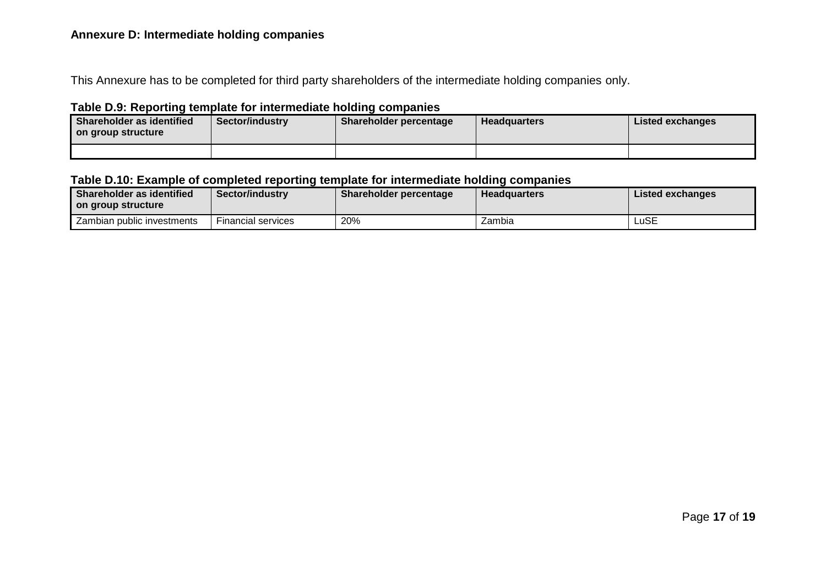### **Annexure D: Intermediate holding companies**

This Annexure has to be completed for third party shareholders of the intermediate holding companies only.

### **Table D.9: Reporting template for intermediate holding companies**

| Shareholder as identified<br>on group structure | Sector/industry | Shareholder percentage | <b>Headguarters</b> | Listed exchanges |
|-------------------------------------------------|-----------------|------------------------|---------------------|------------------|
|                                                 |                 |                        |                     |                  |

#### **Table D.10: Example of completed reporting template for intermediate holding companies**

<span id="page-16-2"></span><span id="page-16-1"></span><span id="page-16-0"></span>

| I Shareholder as identified<br>on group structure | <b>Sector/industry</b>    | Shareholder percentage | <b>Headquarters</b> | Listed exchanges |
|---------------------------------------------------|---------------------------|------------------------|---------------------|------------------|
| Zambian public investments                        | <b>Financial services</b> | 20%                    | Zambia              | LuSE             |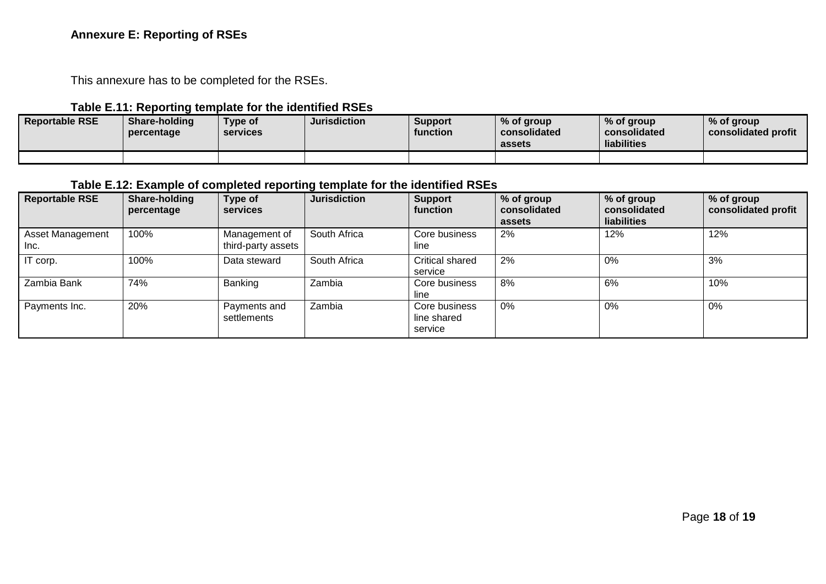This annexure has to be completed for the RSEs.

## **Table E.11: Reporting template for the identified RSEs**

| <b>Reportable RSE</b> | Share-holding<br>percentage | Type of<br><b>services</b> | <b>Jurisdiction</b> | Support<br>function | % of group<br>consolidated<br>assets | % of group<br>consolidated<br>liabilities | % of group<br>consolidated profit |
|-----------------------|-----------------------------|----------------------------|---------------------|---------------------|--------------------------------------|-------------------------------------------|-----------------------------------|
|                       |                             |                            |                     |                     |                                      |                                           |                                   |

## **Table E.12: Example of completed reporting template for the identified RSEs**

<span id="page-17-2"></span><span id="page-17-1"></span><span id="page-17-0"></span>

| <b>Reportable RSE</b>           | Share-holding<br>percentage | Type of<br>services                 | <b>Jurisdiction</b> | <b>Support</b><br>function              | % of group<br>consolidated<br>assets | % of group<br>consolidated<br>liabilities | % of group<br>consolidated profit |
|---------------------------------|-----------------------------|-------------------------------------|---------------------|-----------------------------------------|--------------------------------------|-------------------------------------------|-----------------------------------|
| <b>Asset Management</b><br>Inc. | 100%                        | Management of<br>third-party assets | South Africa        | Core business<br>line                   | 2%                                   | 12%                                       | 12%                               |
| IT corp.                        | 100%                        | Data steward                        | South Africa        | <b>Critical shared</b><br>service       | 2%                                   | 0%                                        | 3%                                |
| Zambia Bank                     | 74%                         | Banking                             | Zambia              | Core business<br>line                   | 8%                                   | 6%                                        | 10%                               |
| Payments Inc.                   | 20%                         | Payments and<br>settlements         | Zambia              | Core business<br>line shared<br>service | 0%                                   | 0%                                        | 0%                                |